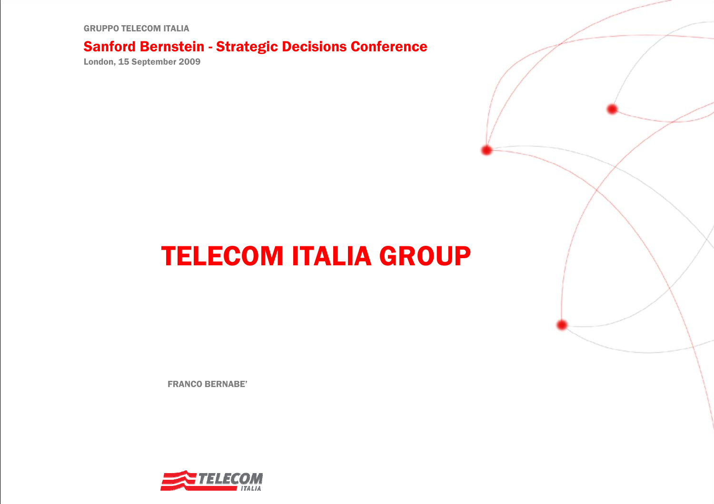GRUPPO TELECOM ITALIA

#### Sanford Bernstein - Strategic Decisions Conference

London, 15 September 2009

# TELECOM ITALIA GROUP

FRANCO BERNABE'

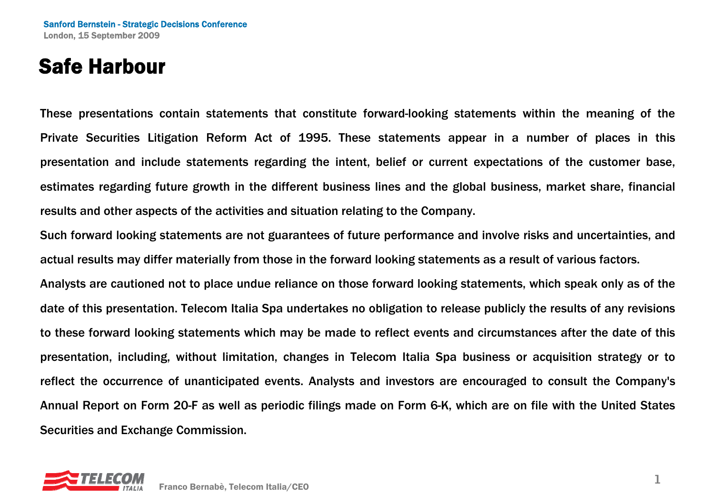#### Safe Harbour

These presentations contain statements that constitute forward-looking statements within the meaning of the Private Securities Litigation Reform Act of 1995. These statements appear in a number of places in this presentation and include statements regarding the intent, belief or current expectations of the customer base, estimates regarding future growth in the different business lines and the global business, market share, financial results and other aspects of the activities and situation relating to the Company.

Such forward looking statements are not guarantees of future performance and involve risks and uncertainties, and actual results may differ materially from those in the forward looking statements as a result of various factors.

Analysts are cautioned not to place undue reliance on those forward looking statements, which speak only as of the date of this presentation. Telecom Italia Spa undertakes no obligation to release publicly the results of any revisions to these forward looking statements which may be made to reflect events and circumstances after the date of this presentation, including, without limitation, changes in Telecom Italia Spa business or acquisition strategy or to reflect the occurrence of unanticipated events. Analysts and investors are encouraged to consult the Company's Annual Report on Form 20-F as well as periodic filings made on Form 6-K, which are on file with the United States Securities and Exchange Commission.

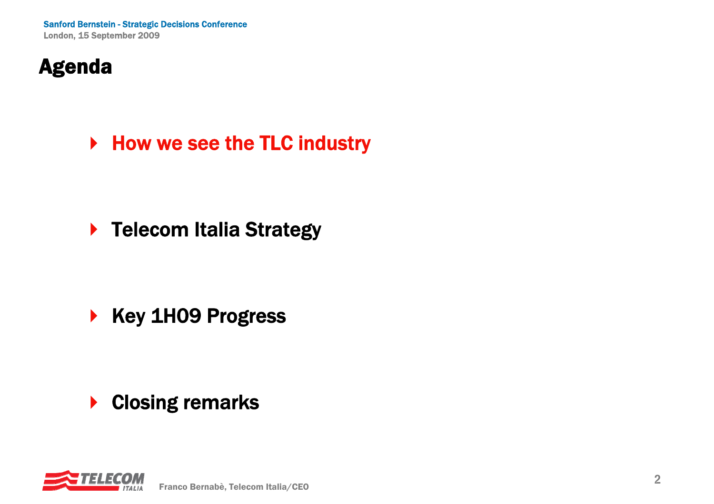# Agenda

▶ How we see the TLC industry

▶ Telecom Italia Strategy

 $\begin{array}{c} \hline \end{array}$ Key 1H09 Progress

 $\blacktriangleright$ Closing remarks

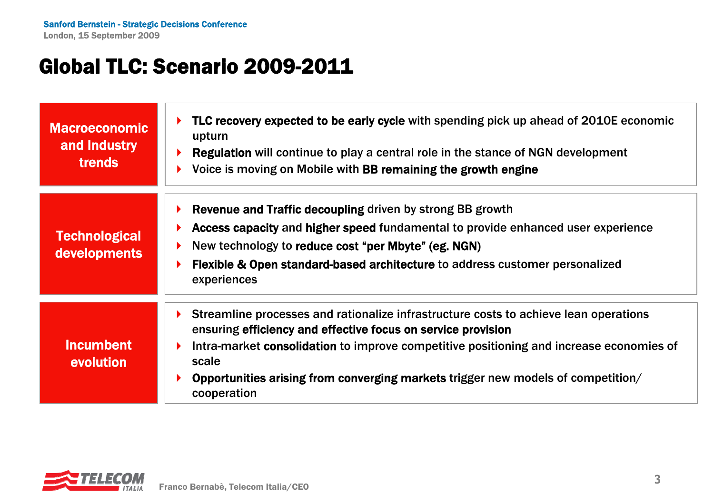#### Global TLC: Scenario 2009-2011

| <b>Macroeconomic</b><br>and Industry<br><b>trends</b> | TLC recovery expected to be early cycle with spending pick up ahead of 2010E economic<br>upturn<br>Regulation will continue to play a central role in the stance of NGN development<br>Voice is moving on Mobile with BB remaining the growth engine                                                                                                        |
|-------------------------------------------------------|-------------------------------------------------------------------------------------------------------------------------------------------------------------------------------------------------------------------------------------------------------------------------------------------------------------------------------------------------------------|
| <b>Technological</b><br>developments                  | Revenue and Traffic decoupling driven by strong BB growth<br>Access capacity and higher speed fundamental to provide enhanced user experience<br>New technology to reduce cost "per Mbyte" (eg. NGN)<br><b>Flexible &amp; Open standard-based architecture to address customer personalized</b><br>experiences                                              |
| <b>Incumbent</b><br>evolution                         | Streamline processes and rationalize infrastructure costs to achieve lean operations<br>ensuring efficiency and effective focus on service provision<br>Intra-market consolidation to improve competitive positioning and increase economies of<br>scale<br>Opportunities arising from converging markets trigger new models of competition/<br>cooperation |

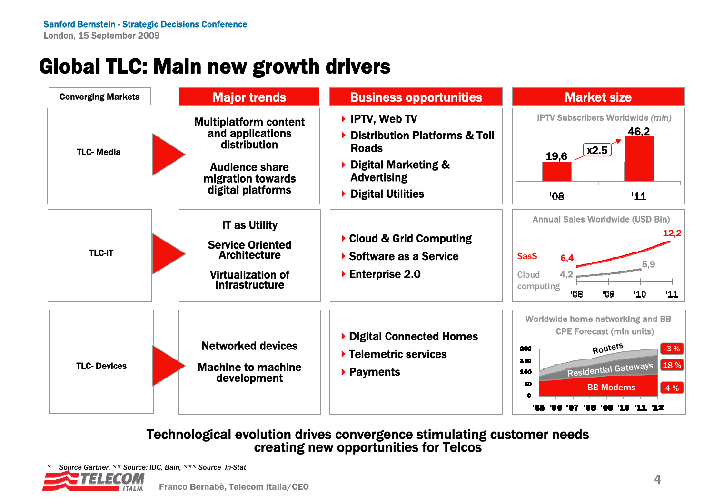# Global TLC: Main new growth drivers



Technological evolution drives convergence stimulating customer needs creating new opportunities for Telcos

*\* Source Gartner, \*\* Source: IDC, Bain, \*\*\* Source In-Stat*-77777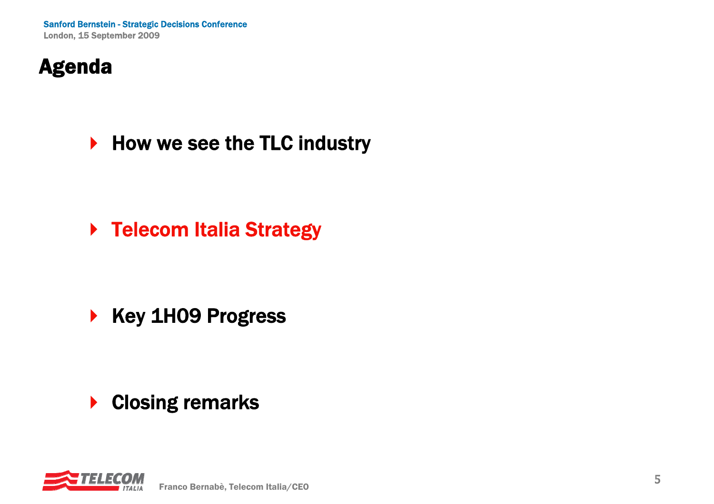# Agenda

#### ▶ How we see the TLC industry

▶ Telecom Italia Strategy

 $\begin{array}{c} \hline \end{array}$ Key 1H09 Progress

 $\blacktriangleright$ Closing remarks

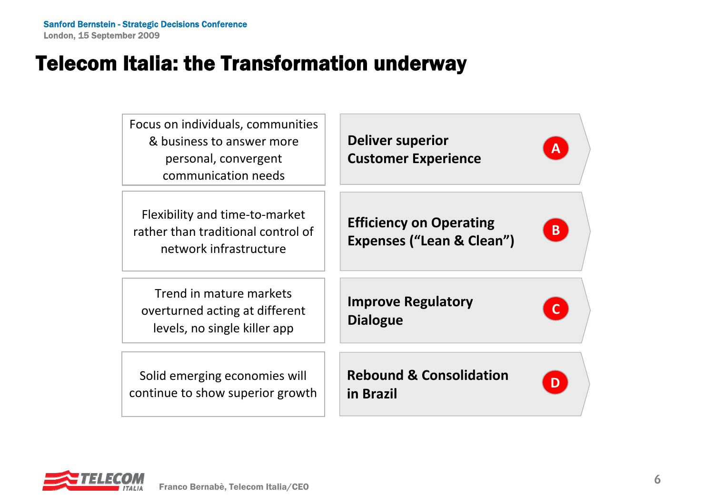#### Telecom Italia: the Transformation underway



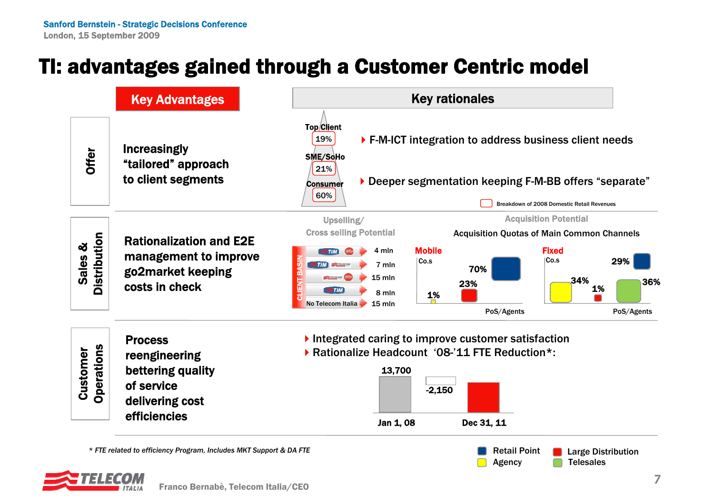## TI: advantages gained through a Customer Centric model



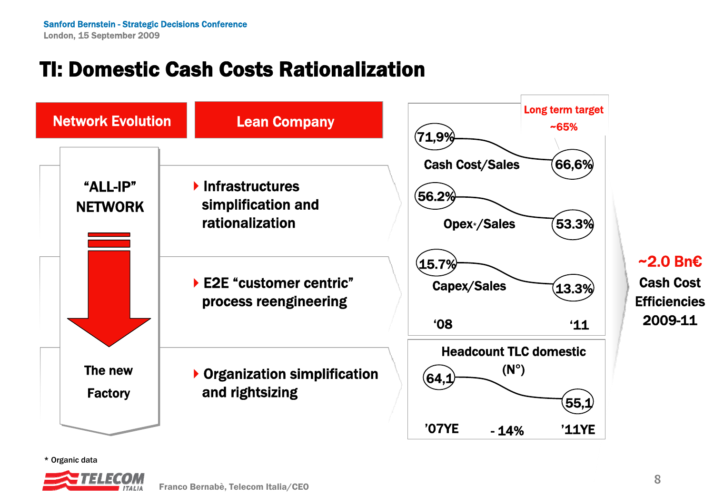### TI: Domestic Cash Costs Rationalization



~2.0 Bn€Cash Cost**Efficiencies** 2009-11

\* Organic data

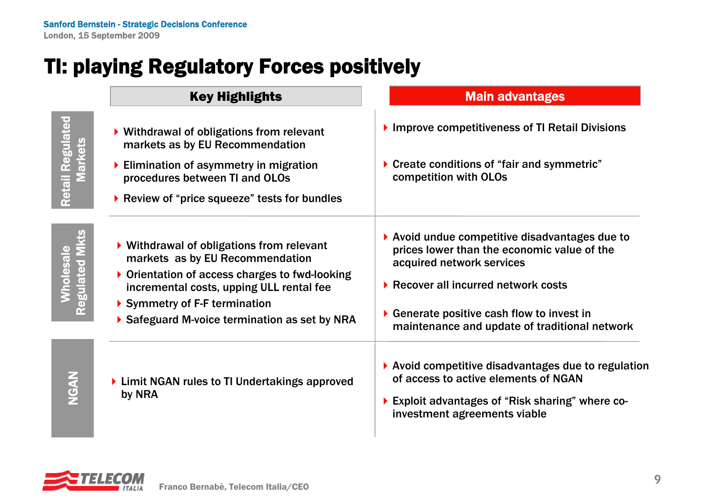#### TI: playing Regulatory Forces positively

**Retail Regulated** Retail Regulated **Markets** Markets

> Wholesale Regulated Mkts

Wholesale<br>Regulated Mkts

NGAN

Key Highlights

#### Main advantages

| ▶ Withdrawal of obligations from relevant<br>markets as by EU Recommendation                                                                                                                                                                                                           | Improve competitiveness of TI Retail Divisions<br>▶ Create conditions of "fair and symmetric"<br>competition with OLOs                                                                                                                                                           |  |  |
|----------------------------------------------------------------------------------------------------------------------------------------------------------------------------------------------------------------------------------------------------------------------------------------|----------------------------------------------------------------------------------------------------------------------------------------------------------------------------------------------------------------------------------------------------------------------------------|--|--|
| ▶ Elimination of asymmetry in migration<br>procedures between TI and OLOs                                                                                                                                                                                                              |                                                                                                                                                                                                                                                                                  |  |  |
| Review of "price squeeze" tests for bundles                                                                                                                                                                                                                                            |                                                                                                                                                                                                                                                                                  |  |  |
| $\triangleright$ Withdrawal of obligations from relevant<br>markets as by EU Recommendation<br>$\triangleright$ Orientation of access charges to fwd-looking<br>incremental costs, upping ULL rental fee<br>Symmetry of F-F termination<br>Safeguard M-voice termination as set by NRA | ▶ Avoid undue competitive disadvantages due to<br>prices lower than the economic value of the<br>acquired network services<br>▶ Recover all incurred network costs<br>$\triangleright$ Generate positive cash flow to invest in<br>maintenance and update of traditional network |  |  |
| ▶ Limit NGAN rules to TI Undertakings approved<br>by NRA                                                                                                                                                                                                                               | $\blacktriangleright$ Avoid competitive disadvantages due to regulation<br>of access to active elements of NGAN<br>Exploit advantages of "Risk sharing" where co-<br>investment agreements viable                                                                                |  |  |

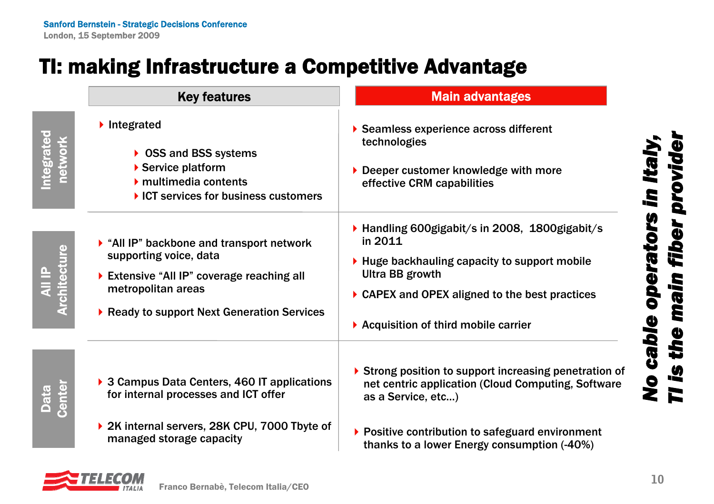#### TI: making Infrastructure a Competitive Advantage

|                                | <b>Key features</b>                                                                                                                                                                                 | <b>Main advantages</b>                                                                                                                                                                                                                               |
|--------------------------------|-----------------------------------------------------------------------------------------------------------------------------------------------------------------------------------------------------|------------------------------------------------------------------------------------------------------------------------------------------------------------------------------------------------------------------------------------------------------|
| ntegrated<br><b>network</b>    | lntegrated<br>▶ OSS and BSS systems<br>Service platform<br>$\blacktriangleright$ multimedia contents<br>▶ ICT services for business customers                                                       | Seamless experience across different<br>technologies<br>Deeper customer knowledge with more<br>effective CRM capabilities                                                                                                                            |
| <b>All IP<br/>Architecture</b> | $\triangleright$ "All IP" backbone and transport network<br>supporting voice, data<br>Extensive "All IP" coverage reaching all<br>metropolitan areas<br>▶ Ready to support Next Generation Services | ▶ Handling 600gigabit/s in 2008, 1800gigabit/s<br>in 2011<br>▶ Huge backhauling capacity to support mobile<br><b>Ultra BB growth</b><br>▶ CAPEX and OPEX aligned to the best practices<br>▶ Acquisition of third mobile carrier                      |
| Center<br>Data<br>Data         | ▶ 3 Campus Data Centers, 460 IT applications<br>for internal processes and ICT offer<br>▶ 2K internal servers, 28K CPU, 7000 Tbyte of<br>managed storage capacity                                   | $\triangleright$ Strong position to support increasing penetration of<br>net centric application (Cloud Computing, Software<br>as a Service, etc)<br>▶ Positive contribution to safeguard environment<br>thanks to a lower Energy consumption (-40%) |

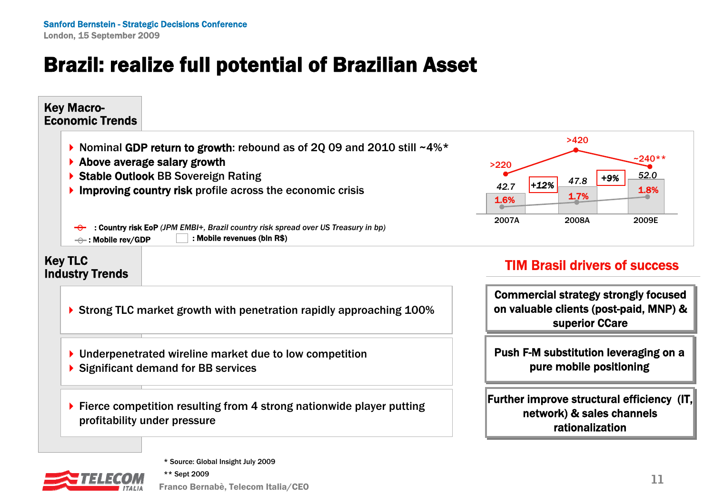# Brazil: realize full potential of Brazilian Asset

#### Push F-M substitution leveraging on a Push F-M substitution leveraging on a pure mobile positioning pure mobile positioning TIM Brasil drivers of successCommercial strategy strongly focused Commercial strategy strongly focused on valuable clients (post-paid, MNP) & on valuable clients (post-paid, MNP) & superior CCare superior CCare Key Macro-Economic TrendsKey TLC Industry Trends Nominal GDP return to growth: rebound as of 2Q 09 and 2010 still  $~14\%$ \* ▶ Above average salary growth ▶ Stable Outlook BB Sovereign Rating **Improving country risk** profile across the economic crisis : Country risk EoP *(JPM EMBI*<sup>+</sup>*, Brazil country risk spread over US Treasury in bp)*  $\rightarrow$  : Mobile rev/GDP  $\Box$  : Mobile revenues (bin R\$) *42.7*2007A 2008A *47.8*>220>4201.6%1.7% **1.8%** 1.7% **1.8%** ▶ Strong TLC market growth with penetration rapidly approaching 100% ▶ Underpenetrated wireline market due to low competition ▶ Significant demand for BB services

▶ Fierce competition resulting from 4 strong nationwide player putting profitability under pressure

#### Further improve structural efficiency $\,$  (IT, $\,$ network) & sales channels network) & sales channels rationalization



\*\* Sept 2009

Franco Bernabè, Telecom Italia/CEO **<sup>11</sup>**

2009E

*52.0*

*+9%*

~240\*\*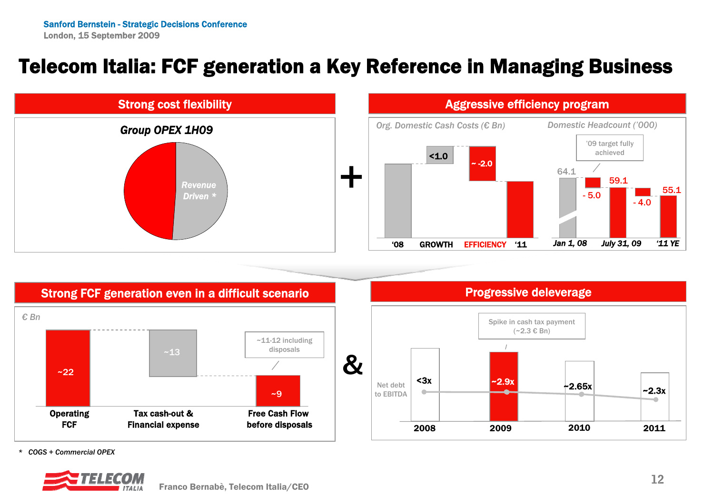#### Telecom Italia: FCF generation a Key Reference in Managing Business





#### Aggressive efficiency program



Progressive deleverage Spike in cash tax payment  $(-2.3 € Bn)$ 

2010

*\* COGS + Commercial OPEX*



2011

 $-2.3x$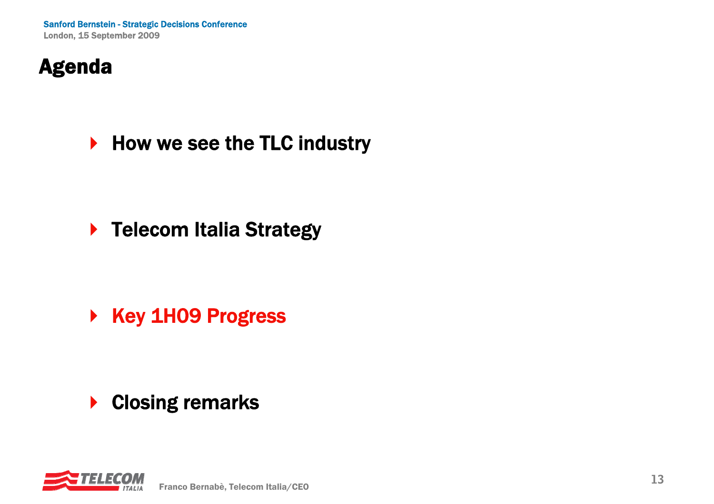# Agenda

▶ How we see the TLC industry

▶ Telecom Italia Strategy

▶ Key 1H09 Progress

 $\blacktriangleright$ Closing remarks

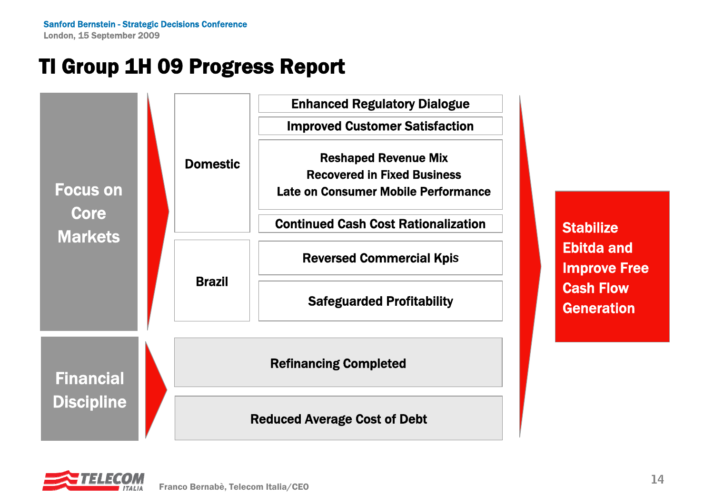# TI Group 1H 09 Progress Report

BrazilDomestic Reshaped Revenue Mix Recovered in Fixed BusinessLate on Consumer Mobile PerformanceImproved Customer Satisfaction Continued Cash Cost Rationalization Enhanced Regulatory Dialogue Focus on **Core** Markets Safeguarded Profitability Reversed Commercial Kpi*<sup>s</sup>* Financial **Discipline** Refinancing Completed Reduced Average Cost of Debt

**Stabilize** Ebitda and Improve Free Cash Flow **Generation** 

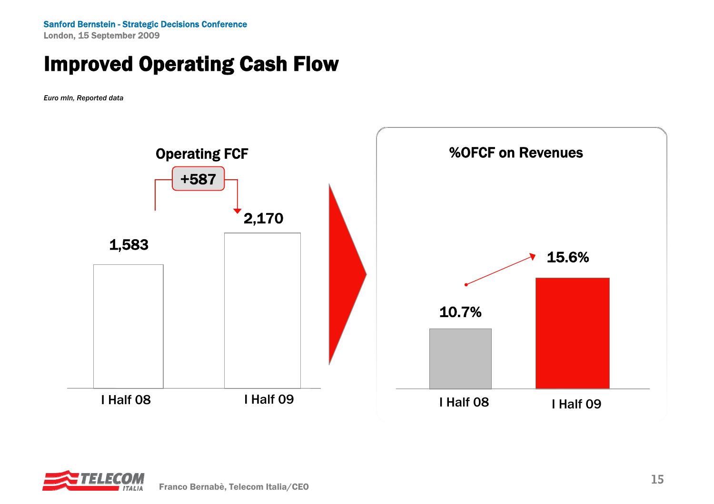Sanford Bernstein - Strategic Decisions Conference London, 15 September 2009

#### Improved Operating Cash Flow

*Euro mln, Reported data*



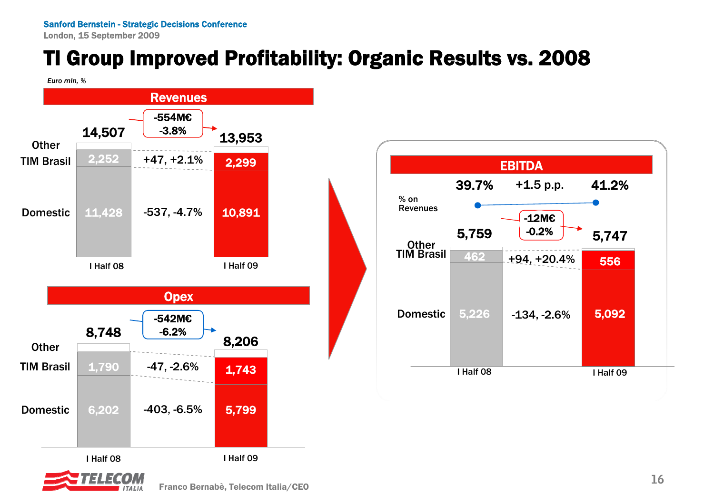London, 15 September 2009

# TI Group Improved Profitability: Organic Results vs. 2008

*Euro mln, %*



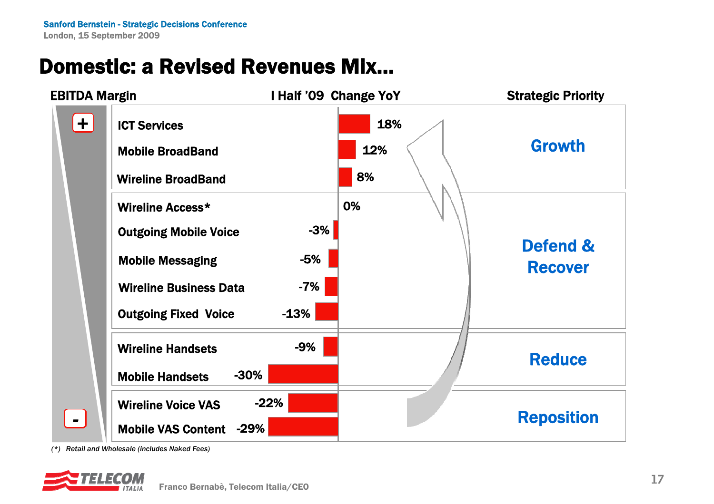# Domestic: a Revised Revenues Mix…



*(\*) Retail and Wholesale (includes Naked Fees)*

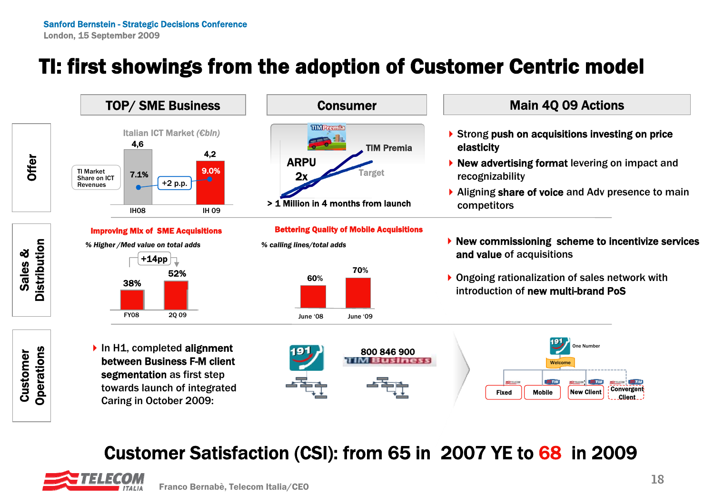# TI: first showings from the adoption of Customer Centric model



Customer Satisfaction (CSI): from 65 in 2007 YE to 68 in 2009



One Number

Convergent Client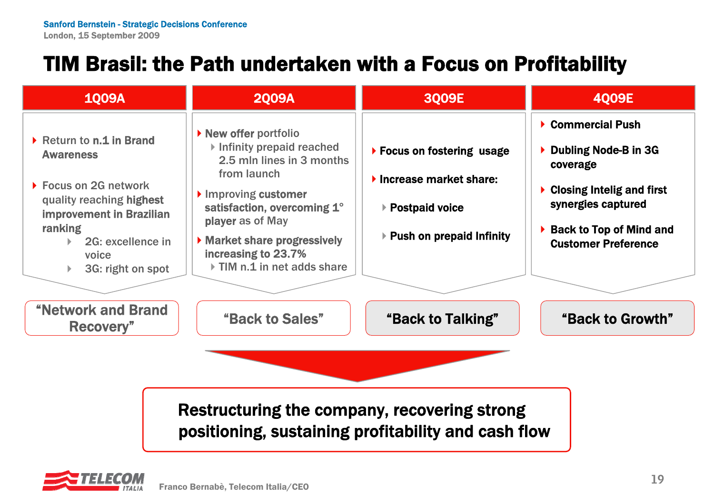# TIM Brasil: the Path undertaken with a Focus on Profitability

| <b>1009A</b>                                                                                                                                                                                            | <b>2009A</b>                                                                                                                                                                                                                                                                               | 3Q09E                                                                                                                        | <b>4009E</b>                                                                                                                                                               |  |  |  |  |  |
|---------------------------------------------------------------------------------------------------------------------------------------------------------------------------------------------------------|--------------------------------------------------------------------------------------------------------------------------------------------------------------------------------------------------------------------------------------------------------------------------------------------|------------------------------------------------------------------------------------------------------------------------------|----------------------------------------------------------------------------------------------------------------------------------------------------------------------------|--|--|--|--|--|
| Return to n.1 in Brand<br><b>Awareness</b><br>▶ Focus on 2G network<br>quality reaching highest<br><b>improvement in Brazilian</b><br><b>ranking</b><br>2G: excellence in<br>voice<br>3G: right on spot | lacktriangleright New offer portfolion<br>$\triangleright$ Infinity prepaid reached<br>2.5 mln lines in 3 months<br>from launch<br>Improving customer<br>satisfaction, overcoming 1°<br>player as of May<br>Market share progressively<br>increasing to 23.7%<br>TIM n.1 in net adds share | ▶ Focus on fostering usage<br>$\blacktriangleright$ Increase market share:<br>▶ Postpaid voice<br>▶ Push on prepaid Infinity | ▶ Commercial Push<br>Dubling Node-B in 3G<br>coverage<br><b>Closing Intelig and first</b><br>synergies captured<br>▶ Back to Top of Mind and<br><b>Customer Preference</b> |  |  |  |  |  |
| <b>"Network and Brand</b><br>Recovery"                                                                                                                                                                  | "Back to Sales"                                                                                                                                                                                                                                                                            | "Back to Talking"                                                                                                            | "Back to Growth"                                                                                                                                                           |  |  |  |  |  |
| Restructuring the company, recovering strong<br>positioning, sustaining profitability and cash flow                                                                                                     |                                                                                                                                                                                                                                                                                            |                                                                                                                              |                                                                                                                                                                            |  |  |  |  |  |

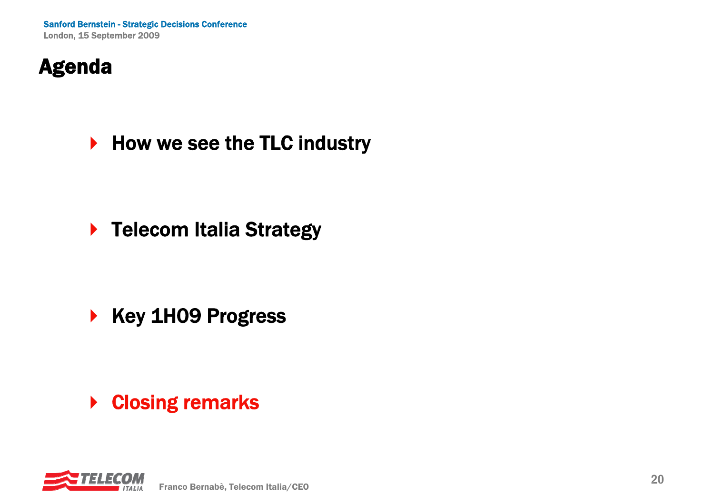# Agenda

▶ How we see the TLC industry

▶ Telecom Italia Strategy

 $\begin{array}{c} \hline \end{array}$ Key 1H09 Progress

**▶ Closing remarks**